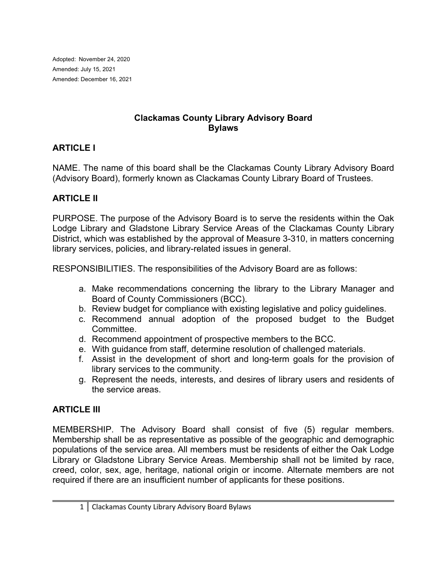Adopted: November 24, 2020 Amended: July 15, 2021 Amended: December 16, 2021

#### **Clackamas County Library Advisory Board Bylaws**

### **ARTICLE I**

NAME. The name of this board shall be the Clackamas County Library Advisory Board (Advisory Board), formerly known as Clackamas County Library Board of Trustees.

### **ARTICLE II**

PURPOSE. The purpose of the Advisory Board is to serve the residents within the Oak Lodge Library and Gladstone Library Service Areas of the Clackamas County Library District, which was established by the approval of Measure 3-310, in matters concerning library services, policies, and library-related issues in general.

RESPONSIBILITIES. The responsibilities of the Advisory Board are as follows:

- a. Make recommendations concerning the library to the Library Manager and Board of County Commissioners (BCC).
- b. Review budget for compliance with existing legislative and policy guidelines.
- c. Recommend annual adoption of the proposed budget to the Budget Committee.
- d. Recommend appointment of prospective members to the BCC.
- e. With guidance from staff, determine resolution of challenged materials.
- f. Assist in the development of short and long-term goals for the provision of library services to the community.
- g. Represent the needs, interests, and desires of library users and residents of the service areas.

### **ARTICLE III**

MEMBERSHIP. The Advisory Board shall consist of five (5) regular members. Membership shall be as representative as possible of the geographic and demographic populations of the service area. All members must be residents of either the Oak Lodge Library or Gladstone Library Service Areas. Membership shall not be limited by race, creed, color, sex, age, heritage, national origin or income. Alternate members are not required if there are an insufficient number of applicants for these positions.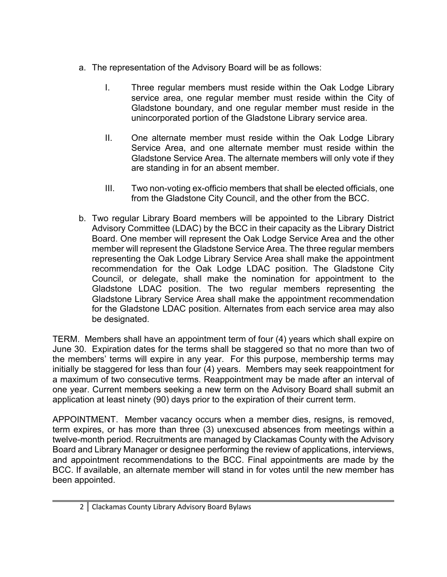- a. The representation of the Advisory Board will be as follows:
	- I. Three regular members must reside within the Oak Lodge Library service area, one regular member must reside within the City of Gladstone boundary, and one regular member must reside in the unincorporated portion of the Gladstone Library service area.
	- II. One alternate member must reside within the Oak Lodge Library Service Area, and one alternate member must reside within the Gladstone Service Area. The alternate members will only vote if they are standing in for an absent member.
	- III. Two non-voting ex-officio members that shall be elected officials, one from the Gladstone City Council, and the other from the BCC.
- b. Two regular Library Board members will be appointed to the Library District Advisory Committee (LDAC) by the BCC in their capacity as the Library District Board. One member will represent the Oak Lodge Service Area and the other member will represent the Gladstone Service Area. The three regular members representing the Oak Lodge Library Service Area shall make the appointment recommendation for the Oak Lodge LDAC position. The Gladstone City Council, or delegate, shall make the nomination for appointment to the Gladstone LDAC position. The two regular members representing the Gladstone Library Service Area shall make the appointment recommendation for the Gladstone LDAC position. Alternates from each service area may also be designated.

TERM. Members shall have an appointment term of four (4) years which shall expire on June 30. Expiration dates for the terms shall be staggered so that no more than two of the members' terms will expire in any year. For this purpose, membership terms may initially be staggered for less than four (4) years. Members may seek reappointment for a maximum of two consecutive terms. Reappointment may be made after an interval of one year. Current members seeking a new term on the Advisory Board shall submit an application at least ninety (90) days prior to the expiration of their current term.

APPOINTMENT. Member vacancy occurs when a member dies, resigns, is removed, term expires, or has more than three (3) unexcused absences from meetings within a twelve-month period. Recruitments are managed by Clackamas County with the Advisory Board and Library Manager or designee performing the review of applications, interviews, and appointment recommendations to the BCC. Final appointments are made by the BCC. If available, an alternate member will stand in for votes until the new member has been appointed.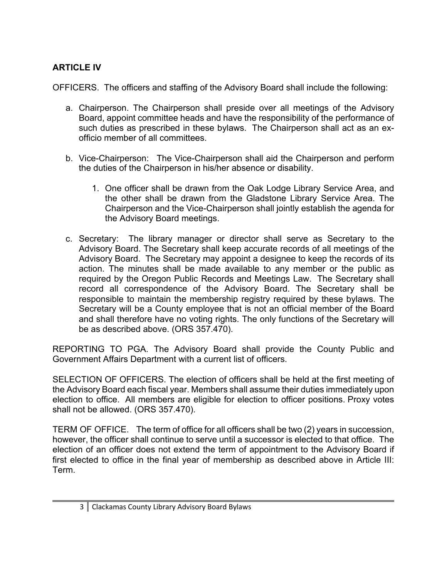# **ARTICLE IV**

OFFICERS. The officers and staffing of the Advisory Board shall include the following:

- a. Chairperson. The Chairperson shall preside over all meetings of the Advisory Board, appoint committee heads and have the responsibility of the performance of such duties as prescribed in these bylaws. The Chairperson shall act as an exofficio member of all committees.
- b. Vice-Chairperson: The Vice-Chairperson shall aid the Chairperson and perform the duties of the Chairperson in his/her absence or disability.
	- 1. One officer shall be drawn from the Oak Lodge Library Service Area, and the other shall be drawn from the Gladstone Library Service Area. The Chairperson and the Vice-Chairperson shall jointly establish the agenda for the Advisory Board meetings.
- c. Secretary: The library manager or director shall serve as Secretary to the Advisory Board. The Secretary shall keep accurate records of all meetings of the Advisory Board. The Secretary may appoint a designee to keep the records of its action. The minutes shall be made available to any member or the public as required by the Oregon Public Records and Meetings Law. The Secretary shall record all correspondence of the Advisory Board. The Secretary shall be responsible to maintain the membership registry required by these bylaws. The Secretary will be a County employee that is not an official member of the Board and shall therefore have no voting rights. The only functions of the Secretary will be as described above. (ORS 357.470).

REPORTING TO PGA. The Advisory Board shall provide the County Public and Government Affairs Department with a current list of officers.

SELECTION OF OFFICERS. The election of officers shall be held at the first meeting of the Advisory Board each fiscal year. Members shall assume their duties immediately upon election to office. All members are eligible for election to officer positions. Proxy votes shall not be allowed. (ORS 357.470).

TERM OF OFFICE. The term of office for all officers shall be two (2) years in succession, however, the officer shall continue to serve until a successor is elected to that office. The election of an officer does not extend the term of appointment to the Advisory Board if first elected to office in the final year of membership as described above in Article III: Term.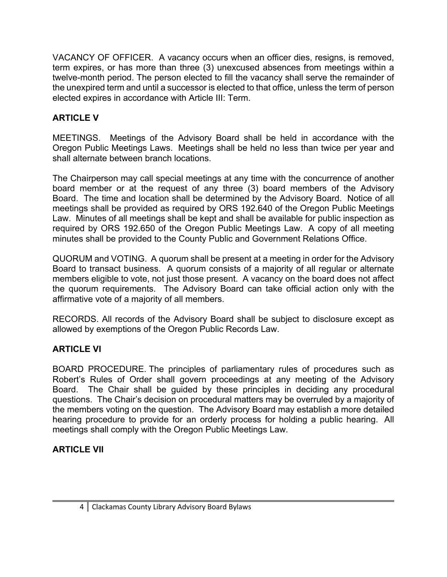VACANCY OF OFFICER. A vacancy occurs when an officer dies, resigns, is removed, term expires, or has more than three (3) unexcused absences from meetings within a twelve-month period. The person elected to fill the vacancy shall serve the remainder of the unexpired term and until a successor is elected to that office, unless the term of person elected expires in accordance with Article III: Term.

# **ARTICLE V**

MEETINGS. Meetings of the Advisory Board shall be held in accordance with the Oregon Public Meetings Laws. Meetings shall be held no less than twice per year and shall alternate between branch locations.

The Chairperson may call special meetings at any time with the concurrence of another board member or at the request of any three (3) board members of the Advisory Board. The time and location shall be determined by the Advisory Board. Notice of all meetings shall be provided as required by ORS 192.640 of the Oregon Public Meetings Law. Minutes of all meetings shall be kept and shall be available for public inspection as required by ORS 192.650 of the Oregon Public Meetings Law. A copy of all meeting minutes shall be provided to the County Public and Government Relations Office.

QUORUM and VOTING. A quorum shall be present at a meeting in order for the Advisory Board to transact business. A quorum consists of a majority of all regular or alternate members eligible to vote, not just those present. A vacancy on the board does not affect the quorum requirements. The Advisory Board can take official action only with the affirmative vote of a majority of all members.

RECORDS. All records of the Advisory Board shall be subject to disclosure except as allowed by exemptions of the Oregon Public Records Law.

## **ARTICLE VI**

BOARD PROCEDURE. The principles of parliamentary rules of procedures such as Robert's Rules of Order shall govern proceedings at any meeting of the Advisory Board. The Chair shall be guided by these principles in deciding any procedural questions. The Chair's decision on procedural matters may be overruled by a majority of the members voting on the question. The Advisory Board may establish a more detailed hearing procedure to provide for an orderly process for holding a public hearing. All meetings shall comply with the Oregon Public Meetings Law.

## **ARTICLE VII**